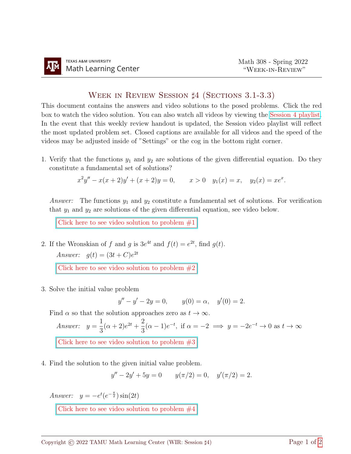## Week in Review Session ♯4 (Sections 3.1-3.3)

This document contains the answers and video solutions to the posed problems. Click the red box to watch the video solution. You can also watch all videos by viewing the [Session 4 playlist.](https://www.youtube.com/playlist?list=PLwFg2cC3rFdl9YJ7bM4REbPWRkLoYt2KE) In the event that this weekly review handout is updated, the Session video playlist will reflect the most updated problem set. Closed captions are available for all videos and the speed of the videos may be adjusted inside of "Settings" or the cog in the bottom right corner.

1. Verify that the functions  $y_1$  and  $y_2$  are solutions of the given differential equation. Do they constitute a fundamental set of solutions?

$$
x^{2}y'' - x(x+2)y' + (x+2)y = 0, \t x > 0 \t y_{1}(x) = x, \t y_{2}(x) = xe^{x}.
$$

*Answer:* The functions  $y_1$  and  $y_2$  constitute a fundamental set of solutions. For verification that  $y_1$  and  $y_2$  are solutions of the given differential equation, see video below.

Click here to see video solution to problem  $#1$ 

2. If the Wronskian of f and g is  $3e^{4t}$  and  $f(t) = e^{2t}$ , find  $g(t)$ . Answer:  $g(t) = (3t + C)e^{2t}$ 

Click here to see video solution to problem  $\#2$ 

3. Solve the initial value problem

$$
y'' - y' - 2y = 0, \t y(0) = \alpha, \t y'(0) = 2.
$$

Find  $\alpha$  so that the solution approaches zero as  $t \to \infty$ .

Answer:  $y =$ 1 3  $(\alpha + 2)e^{2t} + \frac{2}{2}$ 3  $(\alpha - 1)e^{-t}$ , if  $\alpha = -2 \implies y = -2e^{-t} \to 0$  as  $t \to \infty$ [Click here to see video solution to problem #3](https://youtu.be/WUYwlWRyexg)

4. Find the solution to the given initial value problem.

$$
y'' - 2y' + 5y = 0 \t y(\pi/2) = 0, \t y'(\pi/2) = 2.
$$

Answer:  $y = -e^t(e^{-\frac{\pi}{2}})\sin(2t)$ 

Click here to see video solution to problem  $\#4$